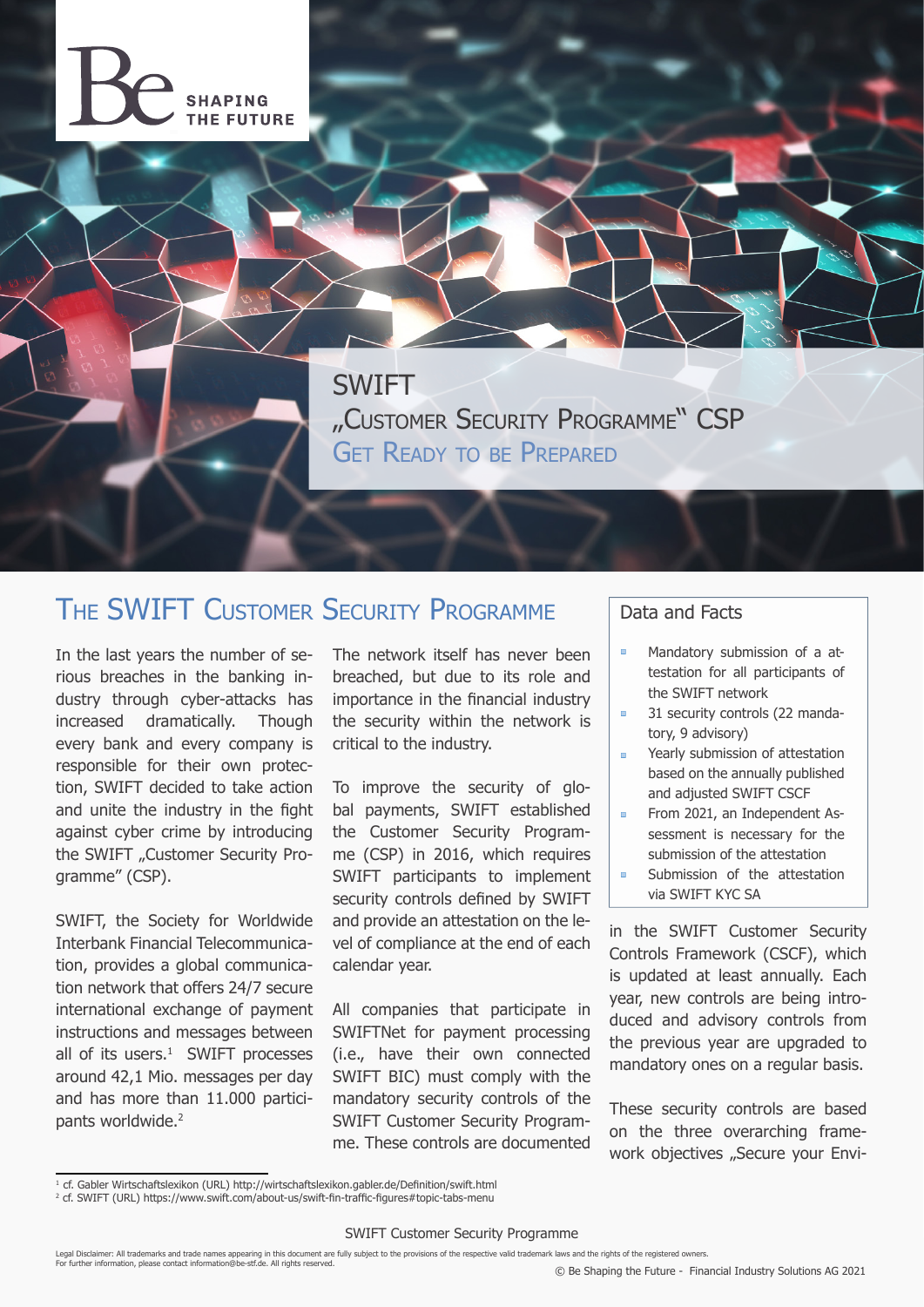

SWIFT "Customer Security Programme" CSP GET READY TO BE PREPARED

## The SWIFT Customer Security Programme

In the last years the number of serious breaches in the banking industry through cyber-attacks has increased dramatically. Though every bank and every company is responsible for their own protection, SWIFT decided to take action and unite the industry in the fight against cyber crime by introducing the SWIFT "Customer Security Programme" (CSP).

SWIFT, the Society for Worldwide Interbank Financial Telecommunication, provides a global communication network that offers 24/7 secure international exchange of payment instructions and messages between all of its users. $<sup>1</sup>$  SWIFT processes</sup> around 42,1 Mio. messages per day and has more than 11.000 participants worldwide.<sup>2</sup>

The network itself has never been breached, but due to its role and importance in the financial industry the security within the network is critical to the industry.

To improve the security of global payments, SWIFT established the Customer Security Programme (CSP) in 2016, which requires SWIFT participants to implement security controls defined by SWIFT and provide an attestation on the level of compliance at the end of each calendar year.

All companies that participate in SWIFTNet for payment processing (i.e., have their own connected SWIFT BIC) must comply with the mandatory security controls of the SWIFT Customer Security Programme. These controls are documented

#### Data and Facts

- $\blacksquare$ Mandatory submission of a attestation for all participants of the SWIFT network
- 31 security controls (22 manda- $\blacksquare$ tory, 9 advisory)
- $\blacksquare$ Yearly submission of attestation based on the annually published and adjusted SWIFT CSCF
- $\overline{\phantom{a}}$ From 2021, an Independent Assessment is necessary for the submission of the attestation Submission of the attestation  $\blacksquare$
- via SWIFT KYC SA

in the SWIFT Customer Security Controls Framework (CSCF), which is updated at least annually. Each year, new controls are being introduced and advisory controls from the previous year are upgraded to mandatory ones on a regular basis.

These security controls are based on the three overarching framework objectives "Secure your Envi-

Legal Disclaimer: All trademarks and trade names appearing in this document are fully subject to the provisions of the respective valid trademark laws and the rights of the registered owners.<br>For further information, pleas

<sup>&</sup>lt;sup>1</sup> cf. Gabler Wirtschaftslexikon (URL) http://wirtschaftslexikon.gabler.de/Definition/swift.html

<sup>2</sup> cf. SWIFT (URL) https://www.swift.com/about-us/swift-fin-traffic-figures#topic-tabs-menu